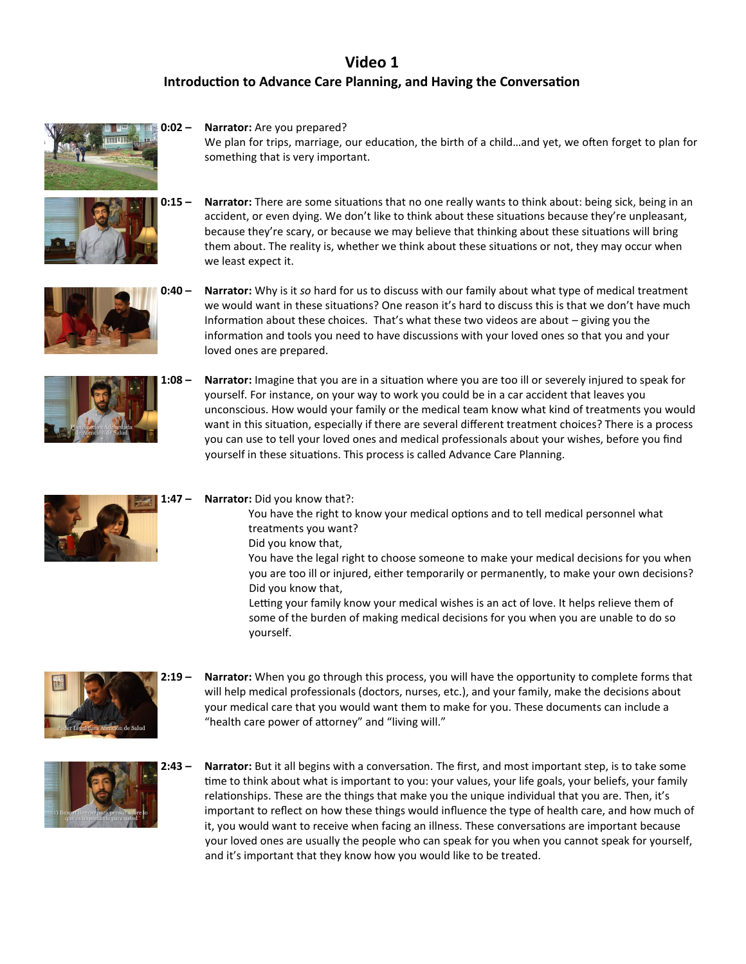## **Video 1 Introduction to Advance Care Planning, and Having the Conversation**



we least expect it.

We plan for trips, marriage, our education, the birth of a child…and yet, we often forget to plan for something that is very important.

accident, or even dying. We don't like to think about these situations because they're unpleasant, because they're scary, or because we may believe that thinking about these situations will bring them about. The reality is, whether we think about these situations or not, they may occur when

**0:15 – Narrator:** There are some situations that no one really wants to think about: being sick, being in an







**1:08 – Narrator:** Imagine that you are in a situation where you are too ill or severely injured to speak for yourself. For instance, on your way to work you could be in a car accident that leaves you unconscious. How would your family or the medical team know what kind of treatments you would want in this situation, especially if there are several different treatment choices? There is a process you can use to tell your loved ones and medical professionals about your wishes, before you find yourself in these situations. This process is called Advance Care Planning.



## **1:47 – Narrator:** Did you know that?:

You have the right to know your medical options and to tell medical personnel what treatments you want?

Did you know that,

You have the legal right to choose someone to make your medical decisions for you when you are too ill or injured, either temporarily or permanently, to make your own decisions? Did you know that,

 Letting your family know your medical wishes is an act of love. It helps relieve them of some of the burden of making medical decisions for you when you are unable to do so yourself.



**2:19 – Narrator:** When you go through this process, you will have the opportunity to complete forms that will help medical professionals (doctors, nurses, etc.), and your family, make the decisions about your medical care that you would want them to make for you. These documents can include a "health care power of attorney" and "living will."



**2:43 – Narrator:** But it all begins with a conversation. The first, and most important step, is to take some time to think about what is important to you: your values, your life goals, your beliefs, your family relationships. These are the things that make you the unique individual that you are. Then, it's important to reflect on how these things would influence the type of health care, and how much of it, you would want to receive when facing an illness. These conversations are important because your loved ones are usually the people who can speak for you when you cannot speak for yourself, and it's important that they know how you would like to be treated.